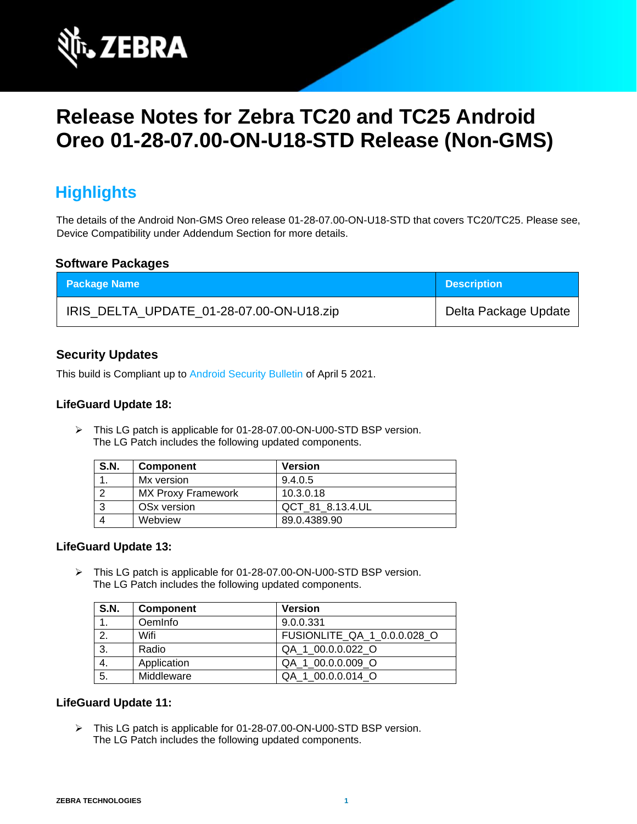

# **Release Notes for Zebra TC20 and TC25 Android Oreo 01-28-07.00-ON-U18-STD Release (Non-GMS)**

## **Highlights**

The details of the Android Non-GMS Oreo release 01-28-07.00-ON-U18-STD that covers TC20/TC25. Please see, Device Compatibility under Addendum Section for more details.

### **Software Packages**

| <b>Package Name</b>                      | <b>Description</b>   |
|------------------------------------------|----------------------|
| IRIS_DELTA_UPDATE_01-28-07.00-ON-U18.zip | Delta Package Update |

## **Security Updates**

This build is Compliant up to [Android Security Bulletin](https://source.android.com/security/bulletin/) of April 5 2021.

#### **LifeGuard Update 18:**

➢ This LG patch is applicable for 01-28-07.00-ON-U00-STD BSP version. The LG Patch includes the following updated components.

| <b>S.N.</b> | <b>Component</b>        | <b>Version</b>   |
|-------------|-------------------------|------------------|
|             | Mx version              | 9.4.0.5          |
|             | MX Proxy Framework      | 10.3.0.18        |
|             | OS <sub>x</sub> version | QCT 81 8.13.4.UL |
|             | Webview                 | 89.0.4389.90     |

#### **LifeGuard Update 13:**

➢ This LG patch is applicable for 01-28-07.00-ON-U00-STD BSP version. The LG Patch includes the following updated components.

| <b>S.N.</b> | <b>Component</b> | <b>Version</b>              |
|-------------|------------------|-----------------------------|
|             | OemInfo          | 9.0.0.331                   |
| 2.          | Wifi             | FUSIONLITE QA 1 0.0.0.028 O |
| 3.          | Radio            | QA 1 00.0.0.022 O           |
| 4.          | Application      | QA 1 00.0.0.009 O           |
| 5.          | Middleware       | QA 1 00.0.0.014 O           |

#### **LifeGuard Update 11:**

➢ This LG patch is applicable for 01-28-07.00-ON-U00-STD BSP version. The LG Patch includes the following updated components.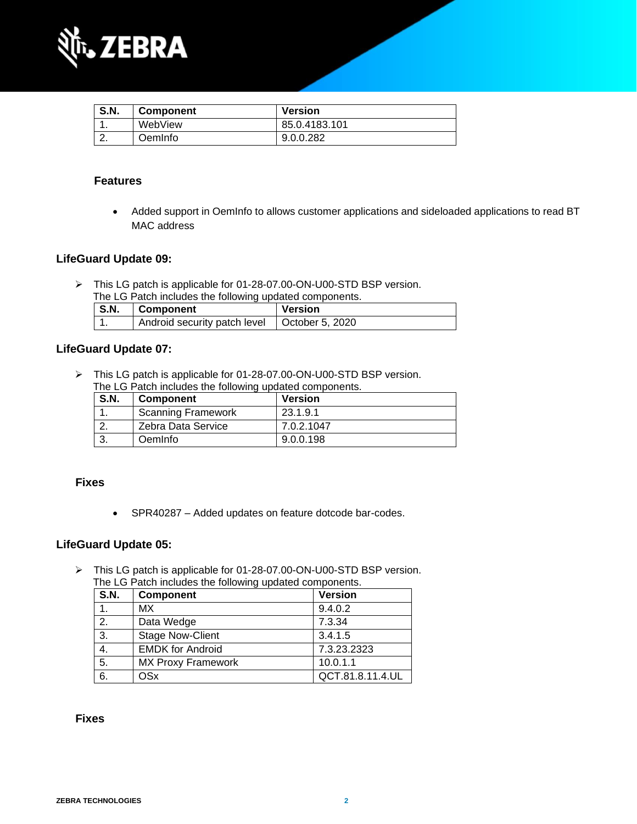

| <b>S.N.</b> | <b>Component</b> | Version       |
|-------------|------------------|---------------|
|             | WebView          | 85.0.4183.101 |
|             | OemInfo.         | 9.0.0.282     |

## **Features**

• Added support in OemInfo to allows customer applications and sideloaded applications to read BT MAC address

## **LifeGuard Update 09:**

➢ This LG patch is applicable for 01-28-07.00-ON-U00-STD BSP version. The LG Patch includes the following updated components.

| <b>S.N.</b> | Component                                      | <b>Version</b> |
|-------------|------------------------------------------------|----------------|
|             | Android security patch level   October 5, 2020 |                |

## **LifeGuard Update 07:**

➢ This LG patch is applicable for 01-28-07.00-ON-U00-STD BSP version. The LG Patch includes the following updated components.

| <b>S.N.</b> | <b>Component</b>          | Version    |
|-------------|---------------------------|------------|
|             | <b>Scanning Framework</b> | 23.1.9.1   |
|             | Zebra Data Service        | 7.0.2.1047 |
|             | OemInfo                   | 9.0.0.198  |

### **Fixes**

• SPR40287 – Added updates on feature dotcode bar-codes.

## **LifeGuard Update 05:**

➢ This LG patch is applicable for 01-28-07.00-ON-U00-STD BSP version. The LG Patch includes the following updated components.

| <b>S.N.</b> | <b>Component</b>          | <b>Version</b>   |
|-------------|---------------------------|------------------|
|             | <b>MX</b>                 | 9.4.0.2          |
| 2.          | Data Wedge                | 7.3.34           |
| 3.          | <b>Stage Now-Client</b>   | 3.4.1.5          |
| 4.          | <b>EMDK for Android</b>   | 7.3.23.2323      |
| 5.          | <b>MX Proxy Framework</b> | 10.0.1.1         |
| 6.          | OSx                       | QCT.81.8.11.4.UL |

### **Fixes**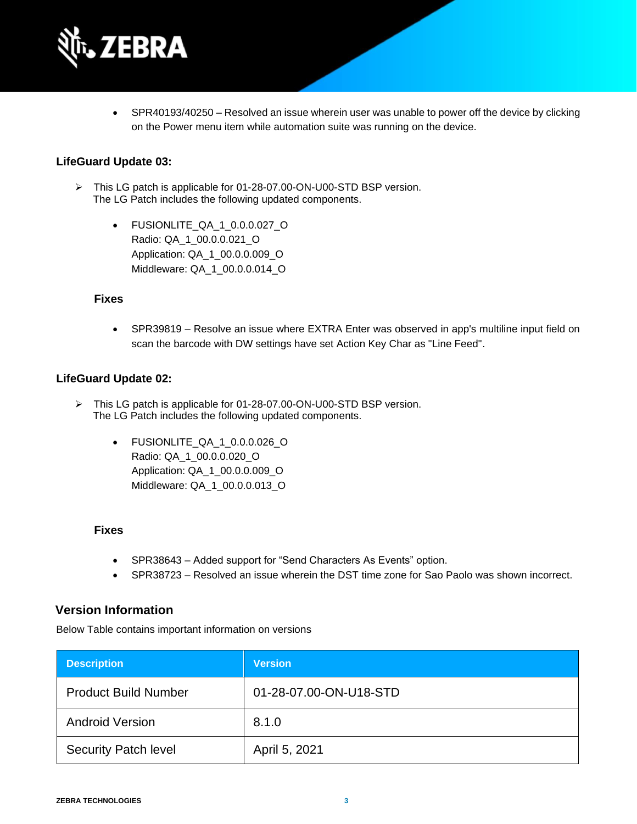

• SPR40193/40250 – Resolved an issue wherein user was unable to power off the device by clicking on the Power menu item while automation suite was running on the device.

#### **LifeGuard Update 03:**

- ➢ This LG patch is applicable for 01-28-07.00-ON-U00-STD BSP version. The LG Patch includes the following updated components.
	- FUSIONLITE\_QA\_1\_0.0.0.027\_O Radio: QA\_1\_00.0.0.021\_O Application: QA\_1\_00.0.0.009\_O Middleware: QA\_1\_00.0.0.014\_O

#### **Fixes**

• SPR39819 – Resolve an issue where EXTRA Enter was observed in app's multiline input field on scan the barcode with DW settings have set Action Key Char as "Line Feed".

#### **LifeGuard Update 02:**

- ➢ This LG patch is applicable for 01-28-07.00-ON-U00-STD BSP version. The LG Patch includes the following updated components.
	- FUSIONLITE\_QA\_1\_0.0.0.026\_O Radio: QA\_1\_00.0.0.020\_O Application: QA\_1\_00.0.0.009\_O Middleware: QA\_1\_00.0.0.013\_O

#### **Fixes**

- SPR38643 Added support for "Send Characters As Events" option.
- SPR38723 Resolved an issue wherein the DST time zone for Sao Paolo was shown incorrect.

#### **Version Information**

Below Table contains important information on versions

| <b>Description</b>          | <b>Version</b>         |
|-----------------------------|------------------------|
| <b>Product Build Number</b> | 01-28-07.00-ON-U18-STD |
| <b>Android Version</b>      | 8.1.0                  |
| <b>Security Patch level</b> | April 5, 2021          |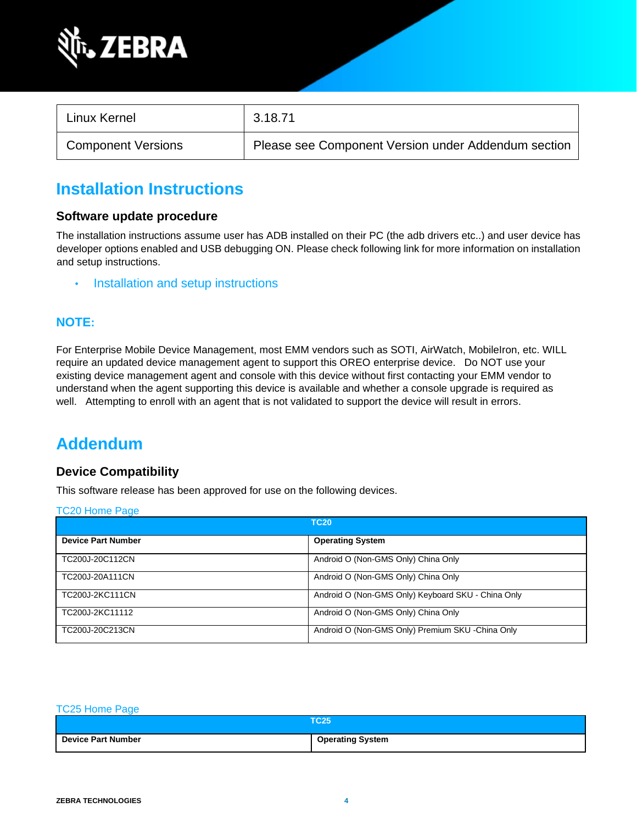

| Linux Kernel              | 3.18.71                                             |
|---------------------------|-----------------------------------------------------|
| <b>Component Versions</b> | Please see Component Version under Addendum section |

## **Installation Instructions**

#### **Software update procedure**

The installation instructions assume user has ADB installed on their PC (the adb drivers etc..) and user device has developer options enabled and USB debugging ON. Please check following link for more information on installation and setup instructions.

• [Installation and setup instructions](https://www.zebra.com/content/dam/zebra_new_ia/en-us/software/operating-system/tc20-operating-system/Android-O-OS-Update-TC20-and-TC25-NGMS.pdf)

### **NOTE:**

For Enterprise Mobile Device Management, most EMM vendors such as SOTI, AirWatch, MobileIron, etc. WILL require an updated device management agent to support this OREO enterprise device. Do NOT use your existing device management agent and console with this device without first contacting your EMM vendor to understand when the agent supporting this device is available and whether a console upgrade is required as well. Attempting to enroll with an agent that is not validated to support the device will result in errors.

## **Addendum**

### **Device Compatibility**

This software release has been approved for use on the following devices.

| <b>TC20 Home Page</b> |  |
|-----------------------|--|
|                       |  |

| <u>.</u> .                | <b>TC20</b>                                        |
|---------------------------|----------------------------------------------------|
| <b>Device Part Number</b> | <b>Operating System</b>                            |
| TC200J-20C112CN           | Android O (Non-GMS Only) China Only                |
| TC200J-20A111CN           | Android O (Non-GMS Only) China Only                |
| TC200J-2KC111CN           | Android O (Non-GMS Only) Keyboard SKU - China Only |
| TC200J-2KC11112           | Android O (Non-GMS Only) China Only                |
| TC200J-20C213CN           | Android O (Non-GMS Only) Premium SKU -China Only   |

#### [TC25 Home Page](https://www.zebra.com/us/en/support-downloads/software/operating-system/tc25-operating-system-non-gms.html)

|                           | <b>TC25</b>             |
|---------------------------|-------------------------|
| <b>Device Part Number</b> | <b>Operating System</b> |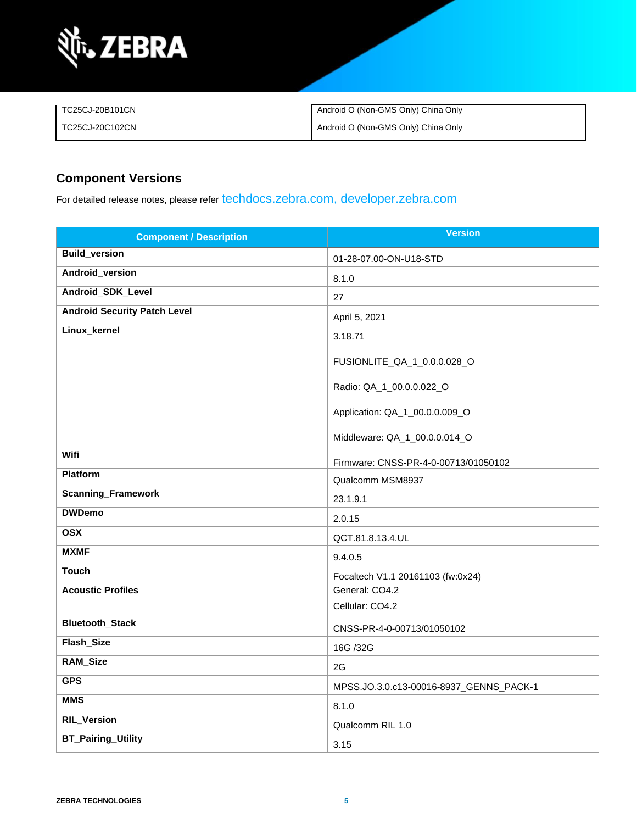

| TC25CJ-20B101CN | Android O (Non-GMS Only) China Only |
|-----------------|-------------------------------------|
| TC25CJ-20C102CN | Android O (Non-GMS Only) China Only |

## **Component Versions**

For detailed release notes, please refer [techdocs.zebra.com,](https://techdocs.zebra.com/) [developer.zebra.com](https://developer.zebra.com/)

| <b>Component / Description</b>      | <b>Version</b>                          |
|-------------------------------------|-----------------------------------------|
| <b>Build_version</b>                | 01-28-07.00-ON-U18-STD                  |
| Android_version                     | 8.1.0                                   |
| Android_SDK_Level                   | 27                                      |
| <b>Android Security Patch Level</b> | April 5, 2021                           |
| Linux_kernel                        | 3.18.71                                 |
|                                     | FUSIONLITE_QA_1_0.0.0.028_O             |
|                                     | Radio: QA_1_00.0.0.022_O                |
|                                     | Application: QA_1_00.0.0.009_O          |
|                                     | Middleware: QA_1_00.0.0.014_O           |
| <b>Wifi</b>                         | Firmware: CNSS-PR-4-0-00713/01050102    |
| <b>Platform</b>                     | Qualcomm MSM8937                        |
| <b>Scanning_Framework</b>           | 23.1.9.1                                |
| <b>DWDemo</b>                       | 2.0.15                                  |
| <b>OSX</b>                          | QCT.81.8.13.4.UL                        |
| <b>MXMF</b>                         | 9.4.0.5                                 |
| <b>Touch</b>                        | Focaltech V1.1 20161103 (fw:0x24)       |
| <b>Acoustic Profiles</b>            | General: CO4.2                          |
|                                     | Cellular: CO4.2                         |
| <b>Bluetooth_Stack</b>              | CNSS-PR-4-0-00713/01050102              |
| Flash_Size                          | 16G /32G                                |
| <b>RAM_Size</b>                     | 2G                                      |
| <b>GPS</b>                          | MPSS.JO.3.0.c13-00016-8937_GENNS_PACK-1 |
| <b>MMS</b>                          | 8.1.0                                   |
| <b>RIL_Version</b>                  | Qualcomm RIL 1.0                        |
| <b>BT_Pairing_Utility</b>           | 3.15                                    |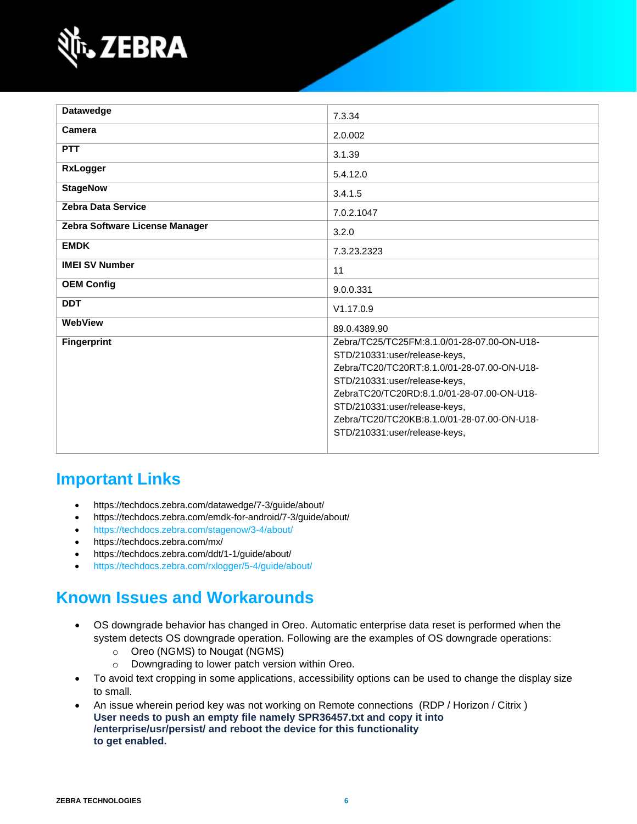

| <b>Datawedge</b>               | 7.3.34                                      |
|--------------------------------|---------------------------------------------|
| Camera                         |                                             |
|                                | 2.0.002                                     |
| <b>PTT</b>                     | 3.1.39                                      |
| <b>RxLogger</b>                | 5.4.12.0                                    |
| <b>StageNow</b>                | 3.4.1.5                                     |
| <b>Zebra Data Service</b>      | 7.0.2.1047                                  |
| Zebra Software License Manager | 3.2.0                                       |
| <b>EMDK</b>                    | 7.3.23.2323                                 |
| <b>IMEI SV Number</b>          | 11                                          |
| <b>OEM Config</b>              | 9.0.0.331                                   |
| <b>DDT</b>                     | V1.17.0.9                                   |
| WebView                        | 89.0.4389.90                                |
| <b>Fingerprint</b>             | Zebra/TC25/TC25FM:8.1.0/01-28-07.00-ON-U18- |
|                                | STD/210331:user/release-keys,               |
|                                | Zebra/TC20/TC20RT:8.1.0/01-28-07.00-ON-U18- |
|                                | STD/210331:user/release-keys,               |
|                                | ZebraTC20/TC20RD:8.1.0/01-28-07.00-ON-U18-  |
|                                | STD/210331:user/release-keys,               |
|                                | Zebra/TC20/TC20KB:8.1.0/01-28-07.00-ON-U18- |
|                                | STD/210331:user/release-keys,               |
|                                |                                             |

## **Important Links**

- <https://techdocs.zebra.com/datawedge/7-3/guide/about/>
- <https://techdocs.zebra.com/emdk-for-android/7-3/guide/about/>
- <https://techdocs.zebra.com/stagenow/3-4/about/>
- <https://techdocs.zebra.com/mx/>
- <https://techdocs.zebra.com/ddt/1-1/guide/about/>
- <https://techdocs.zebra.com/rxlogger/5-4/guide/about/>

## **Known Issues and Workarounds**

- OS downgrade behavior has changed in Oreo. Automatic enterprise data reset is performed when the system detects OS downgrade operation. Following are the examples of OS downgrade operations:
	- o Oreo (NGMS) to Nougat (NGMS)
	- o Downgrading to lower patch version within Oreo.
- To avoid text cropping in some applications, accessibility options can be used to change the display size to small.
- An issue wherein period key was not working on Remote connections (RDP / Horizon / Citrix ) **User needs to push an empty file namely SPR36457.txt and copy it into /enterprise/usr/persist/ and reboot the device for this functionality to get enabled.**